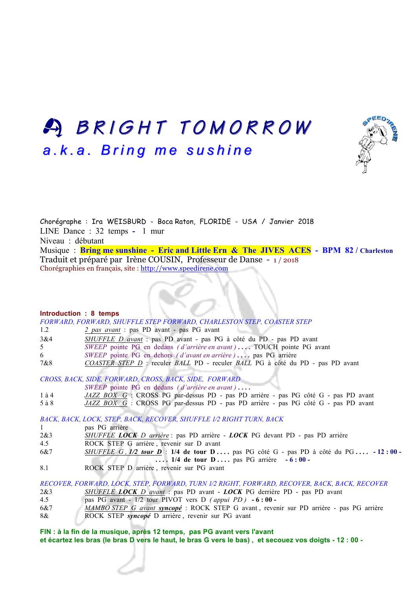## A BRIGHT TOMORROW BRIGHT TOMORROW *a.k.a. Bring me sushine a.k.a. Bring me sushine*



Chorégraphe : Ira WEISBURD - Boca Raton, FLORIDE - USA / Janvier 2018 LINE Dance : 32 temps **-** 1 mur Niveau : débutant Musique : **Bring me sunshine - Eric and Little Ern & The JIVES ACES - BPM 82 / Charleston** Traduit et préparé par Irène COUSIN, Professeur de Danse - 1 / 2018 Chorégraphies en français, site : http://www.speedirene.com

#### **Introduction : 8 temps**

*FORWARD, FORWARD, SHUFFLE STEP FORWARD, CHARLESTON STEP, COASTER STEP* 1.2 *2 pas avant* : pas PD avant - pas PG avant

| $\pm 1.2$ | $\frac{2}{3}$ pus avant . pas ID avail - pas IO avail               |
|-----------|---------------------------------------------------------------------|
| 3&4       | SHUFFLE D avant : pas PD avant - pas PG à côté du PD - pas PD avant |

- 5 *SWEEP* pointe PG en dedans *( d'arrière en avant )* **. . . .** TOUCH pointe PG avant
- 6 *SWEEP* pointe PG en dehors *( d'avant en arrière )* **. . . .** pas PG arrière
- 7&8 *COASTER STEP D* : reculer *BALL* PD reculer *BALL* PG à côté du PD pas PD avant

*CROSS, BACK, SIDE, FORWARD, CROSS, BACK, SIDE, FORWARD*

- *SWEEP* pointe PG en dedans *( d'arrière en avant )* **. . . .**
- 1 à 4 *JAZZ BOX G* : CROSS PG par-dessus PD pas PD arrière pas PG côté G pas PD avant
- 5 à 8 *JAZZ BOX G* : CROSS PG par-dessus PD pas PD arrière pas PG côté G pas PD avant

*BACK, BACK, LOCK, STEP, BACK, RECOVER, SHUFFLE 1⁄2 RIGHT TURN, BACK*

- 1 pas PG arrière
- 2&3 *SHUFFLE LOCK D arrière* : pas PD arrière *LOCK* PG devant PD pas PD arrière
- 4.5 ROCK STEP G arrière , revenir sur D avant
- 6&7 *SHUFFLE G , 1/2 tour D* : **1/4 de tour D . . . .** pas PG côté G pas PD à côté du PG **. . . . - 12 : 00 -**
- **. . . . 1/4 de tour D . . . .** pas PG arrière **- 6 : 00 -**
- 8.1 ROCK STEP D arrière , revenir sur PG avant

*RECOVER, FORWARD, LOCK, STEP, FORWARD, TURN 1⁄2 RIGHT, FORWARD, RECOVER, BACK, BACK, RECOVER* 2&3 *SHUFFLE LOCK D avant* : pas PD avant - *LOCK* PG derrière PD - pas PD avant 4.5 pas PG avant - 1/2 tour PIVOT vers D *( appui PD )* **- 6 : 00 -**

- 6&7 *MAMBO STEP G avant syncopé* : ROCK STEP G avant , revenir sur PD arrière pas PG arrière
- 8& ROCK STEP *syncopé* D arrière , revenir sur PG avant

**FIN : à la fin de la musique, après 12 temps, pas PG avant vers l'avant et écartez les bras (le bras D vers le haut, le bras G vers le bas) , et secouez vos doigts - 12 : 00 -**